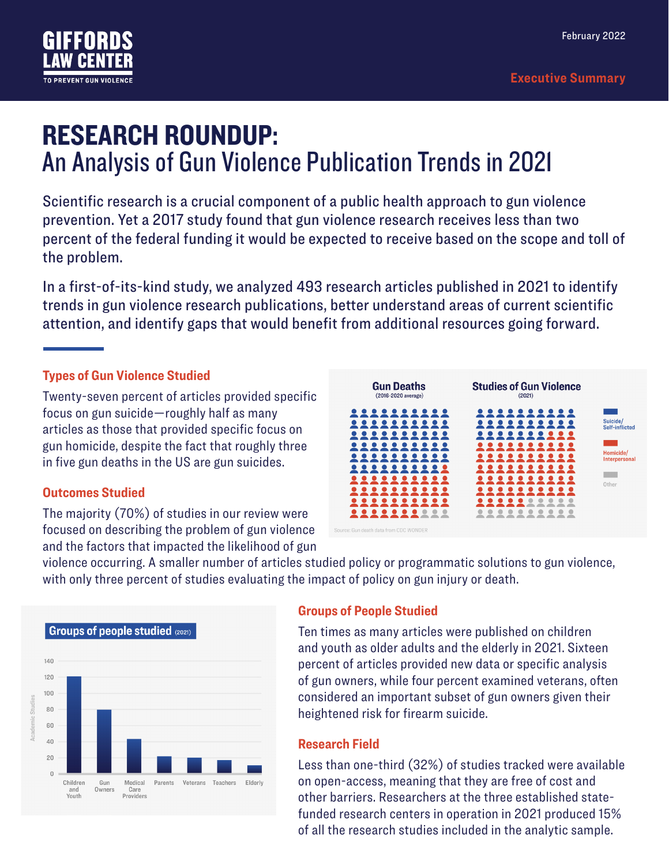

# RESEARCH ROUNDUP: An Analysis of Gun Violence Publication Trends in 2021

Scientific research is a crucial component of a public health approach to gun violence prevention. Yet a 2017 study found that gun violence research receives less than two percent of the federal funding it would be expected to receive based on the scope and toll of the problem.

In a first-of-its-kind study, we analyzed 493 research articles published in 2021 to identify trends in gun violence research publications, better understand areas of current scientific attention, and identify gaps that would benefit from additional resources going forward.

#### **Types of Gun Violence Studied**

Twenty-seven percent of articles provided specific focus on gun suicide—roughly half as many articles as those that provided specific focus on gun homicide, despite the fact that roughly three in five gun deaths in the US are gun suicides.

#### **Outcomes Studied**

The majority (70%) of studies in our review were focused on describing the problem of gun violence and the factors that impacted the likelihood of gun



violence occurring. A smaller number of articles studied policy or programmatic solutions to gun violence, with only three percent of studies evaluating the impact of policy on gun injury or death.



#### **Groups of People Studied**

Ten times as many articles were published on children and youth as older adults and the elderly in 2021. Sixteen percent of articles provided new data or specific analysis of gun owners, while four percent examined veterans, often considered an important subset of gun owners given their heightened risk for firearm suicide.

#### **Research Field**

Less than one-third (32%) of studies tracked were available on open-access, meaning that they are free of cost and other barriers. Researchers at the three established statefunded research centers in operation in 2021 produced 15% of all the research studies included in the analytic sample.